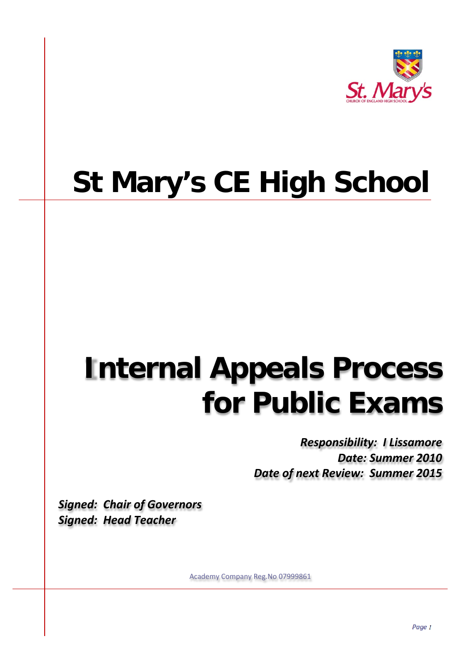

## **St Mary's CE High School**

## **Internal Appeals Process for Public Exams**

*Responsibility: I Lissamore Date: Summer 2010 Date of next Review: Summer 2015*

*Signed: Chair of Governors Signed: Head Teacher*

Academy Company Reg.No 07999861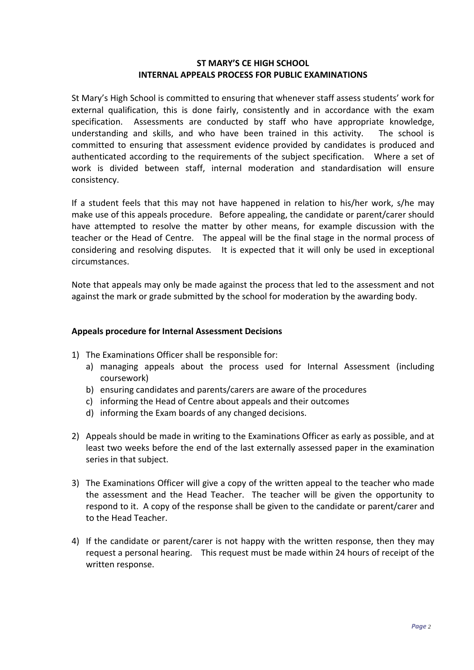## **ST MARY'S CE HIGH SCHOOL INTERNAL APPEALS PROCESS FOR PUBLIC EXAMINATIONS**

St Mary's High School is committed to ensuring that whenever staff assess students' work for external qualification, this is done fairly, consistently and in accordance with the exam specification. Assessments are conducted by staff who have appropriate knowledge, understanding and skills, and who have been trained in this activity. The school is committed to ensuring that assessment evidence provided by candidates is produced and authenticated according to the requirements of the subject specification. Where a set of work is divided between staff, internal moderation and standardisation will ensure consistency.

If a student feels that this may not have happened in relation to his/her work, s/he may make use of this appeals procedure. Before appealing, the candidate or parent/carer should have attempted to resolve the matter by other means, for example discussion with the teacher or the Head of Centre. The appeal will be the final stage in the normal process of considering and resolving disputes. It is expected that it will only be used in exceptional circumstances.

Note that appeals may only be made against the process that led to the assessment and not against the mark or grade submitted by the school for moderation by the awarding body.

## **Appeals procedure for Internal Assessment Decisions**

- 1) The Examinations Officer shall be responsible for:
	- a) managing appeals about the process used for Internal Assessment (including coursework)
	- b) ensuring candidates and parents/carers are aware of the procedures
	- c) informing the Head of Centre about appeals and their outcomes
	- d) informing the Exam boards of any changed decisions.
- 2) Appeals should be made in writing to the Examinations Officer as early as possible, and at least two weeks before the end of the last externally assessed paper in the examination series in that subject.
- 3) The Examinations Officer will give a copy of the written appeal to the teacher who made the assessment and the Head Teacher. The teacher will be given the opportunity to respond to it. A copy of the response shall be given to the candidate or parent/carer and to the Head Teacher.
- 4) If the candidate or parent/carer is not happy with the written response, then they may request a personal hearing. This request must be made within 24 hours of receipt of the written response.